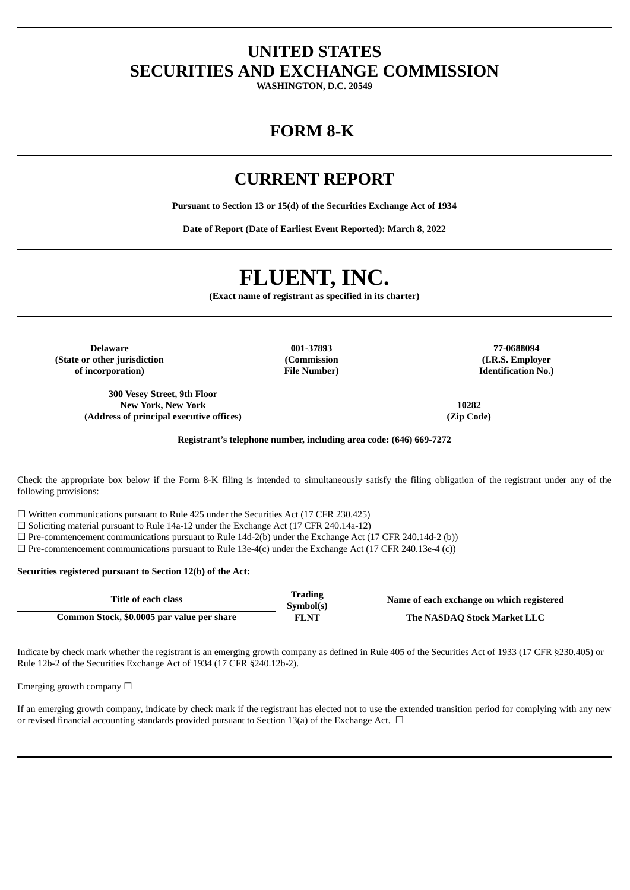# **UNITED STATES SECURITIES AND EXCHANGE COMMISSION**

**WASHINGTON, D.C. 20549**

# **FORM 8-K**

# **CURRENT REPORT**

**Pursuant to Section 13 or 15(d) of the Securities Exchange Act of 1934**

**Date of Report (Date of Earliest Event Reported): March 8, 2022**

# **FLUENT, INC.**

**(Exact name of registrant as specified in its charter)**

**Delaware 001-37893 77-0688094 (State or other jurisdiction of incorporation)**

**300 Vesey Street, 9th Floor New York, New York 10282 (Address of principal executive offices) (Zip Code)**

**(Commission File Number)**

**(I.R.S. Employer Identification No.)**

**Registrant's telephone number, including area code: (646) 669-7272**

Check the appropriate box below if the Form 8-K filing is intended to simultaneously satisfy the filing obligation of the registrant under any of the following provisions:

☐ Written communications pursuant to Rule 425 under the Securities Act (17 CFR 230.425)

☐ Soliciting material pursuant to Rule 14a-12 under the Exchange Act (17 CFR 240.14a-12)

 $\square$  Pre-commencement communications pursuant to Rule 14d-2(b) under the Exchange Act (17 CFR 240.14d-2 (b))

 $\Box$  Pre-commencement communications pursuant to Rule 13e-4(c) under the Exchange Act (17 CFR 240.13e-4 (c))

#### **Securities registered pursuant to Section 12(b) of the Act:**

| Title of each class                        | <b>Trading</b><br>Symbol(s) | Name of each exchange on which registered |
|--------------------------------------------|-----------------------------|-------------------------------------------|
| Common Stock, \$0.0005 par value per share | <b>FLNT</b>                 | The NASDAQ Stock Market LLC               |

Indicate by check mark whether the registrant is an emerging growth company as defined in Rule 405 of the Securities Act of 1933 (17 CFR §230.405) or Rule 12b-2 of the Securities Exchange Act of 1934 (17 CFR §240.12b-2).

Emerging growth company  $\Box$ 

If an emerging growth company, indicate by check mark if the registrant has elected not to use the extended transition period for complying with any new or revised financial accounting standards provided pursuant to Section 13(a) of the Exchange Act.  $\Box$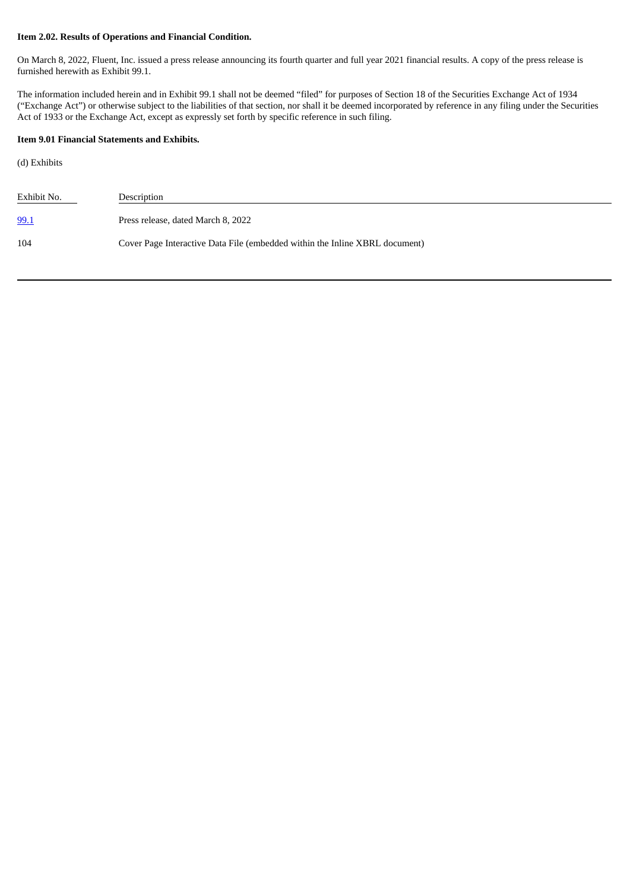## **Item 2.02. Results of Operations and Financial Condition.**

On March 8, 2022, Fluent, Inc. issued a press release announcing its fourth quarter and full year 2021 financial results. A copy of the press release is furnished herewith as Exhibit 99.1.

The information included herein and in Exhibit 99.1 shall not be deemed "filed" for purposes of Section 18 of the Securities Exchange Act of 1934 ("Exchange Act") or otherwise subject to the liabilities of that section, nor shall it be deemed incorporated by reference in any filing under the Securities Act of 1933 or the Exchange Act, except as expressly set forth by specific reference in such filing.

# **Item 9.01 Financial Statements and Exhibits.**

(d) Exhibits

| Exhibit No. | Description                                                                 |
|-------------|-----------------------------------------------------------------------------|
| 99.1        | Press release, dated March 8, 2022                                          |
| 104         | Cover Page Interactive Data File (embedded within the Inline XBRL document) |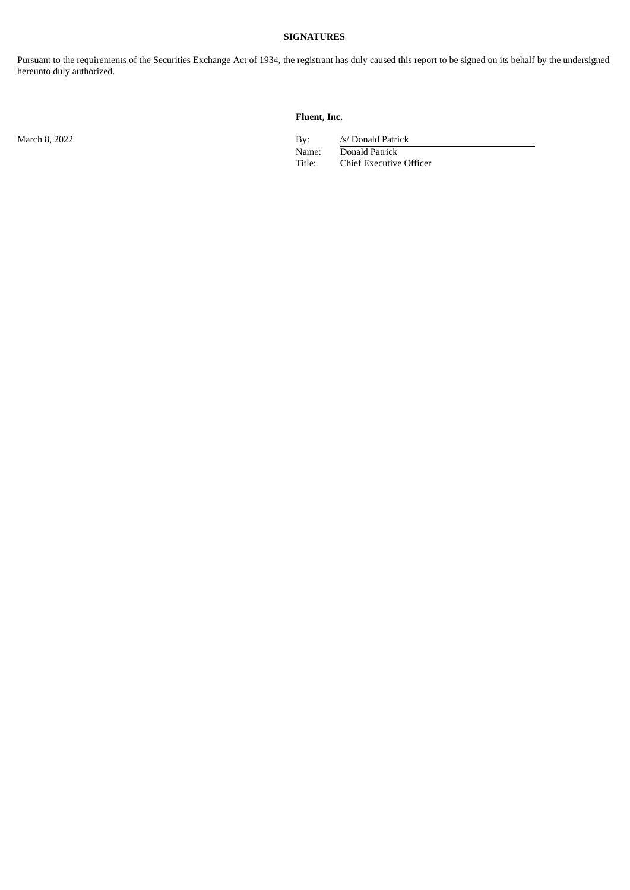# **SIGNATURES**

Pursuant to the requirements of the Securities Exchange Act of 1934, the registrant has duly caused this report to be signed on its behalf by the undersigned hereunto duly authorized.

# **Fluent, Inc.**

March 8, 2022 **By:** /s/ Donald Patrick

Name: Donald Patrick<br>Title: Chief Executive Chief Executive Officer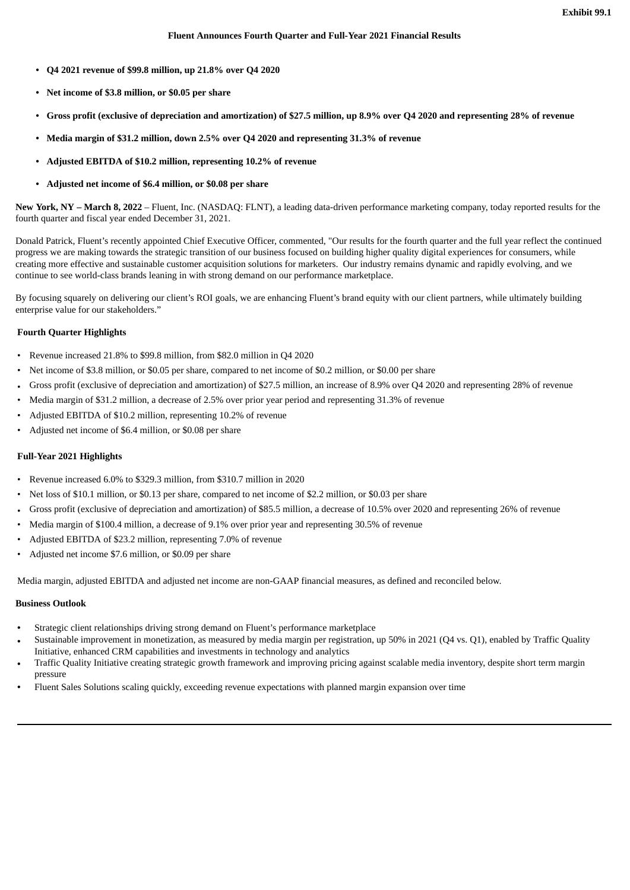- <span id="page-3-0"></span>**• Q4 2021 revenue of \$99.8 million, up 21.8% over Q4 2020**
- **• Net income of \$3.8 million, or \$0.05 per share**
- Gross profit (exclusive of depreciation and amortization) of \$27.5 million, up 8.9% over Q4 2020 and representing 28% of revenue
- **• Media margin of \$31.2 million, down 2.5% over Q4 2020 and representing 31.3% of revenue**
- **• Adjusted EBITDA of \$10.2 million, representing 10.2% of revenue**
- **• Adjusted net income of \$6.4 million, or \$0.08 per share**

**New York, NY – March 8, 2022** – Fluent, Inc. (NASDAQ: FLNT), a leading data-driven performance marketing company, today reported results for the fourth quarter and fiscal year ended December 31, 2021.

Donald Patrick, Fluent's recently appointed Chief Executive Officer, commented, "Our results for the fourth quarter and the full year reflect the continued progress we are making towards the strategic transition of our business focused on building higher quality digital experiences for consumers, while creating more effective and sustainable customer acquisition solutions for marketers. Our industry remains dynamic and rapidly evolving, and we continue to see world-class brands leaning in with strong demand on our performance marketplace.

By focusing squarely on delivering our client's ROI goals, we are enhancing Fluent's brand equity with our client partners, while ultimately building enterprise value for our stakeholders."

#### **Fourth Quarter Highlights**

- Revenue increased 21.8% to \$99.8 million, from \$82.0 million in Q4 2020
- Net income of \$3.8 million, or \$0.05 per share, compared to net income of \$0.2 million, or \$0.00 per share
- Gross profit (exclusive of depreciation and amortization) of \$27.5 million, an increase of 8.9% over Q4 2020 and representing 28% of revenue
- Media margin of \$31.2 million, a decrease of 2.5% over prior year period and representing 31.3% of revenue
- Adjusted EBITDA of \$10.2 million, representing 10.2% of revenue
- Adjusted net income of \$6.4 million, or \$0.08 per share

#### **Full-Year 2021 Highlights**

- Revenue increased 6.0% to \$329.3 million, from \$310.7 million in 2020
- Net loss of \$10.1 million, or \$0.13 per share, compared to net income of \$2.2 million, or \$0.03 per share
- Gross profit (exclusive of depreciation and amortization) of \$85.5 million, a decrease of 10.5% over 2020 and representing 26% of revenue
- Media margin of \$100.4 million, a decrease of 9.1% over prior year and representing 30.5% of revenue
- Adjusted EBITDA of \$23.2 million, representing 7.0% of revenue
- Adjusted net income \$7.6 million, or \$0.09 per share

Media margin, adjusted EBITDA and adjusted net income are non-GAAP financial measures, as defined and reconciled below.

#### **Business Outlook**

- **•** Strategic client relationships driving strong demand on Fluent's performance marketplace
- **•** Sustainable improvement in monetization, as measured by media margin per registration, up 50% in 2021 (Q4 vs. Q1), enabled by Traffic Quality Initiative, enhanced CRM capabilities and investments in technology and analytics
- **•** Traffic Quality Initiative creating strategic growth framework and improving pricing against scalable media inventory, despite short term margin pressure
- **•** Fluent Sales Solutions scaling quickly, exceeding revenue expectations with planned margin expansion over time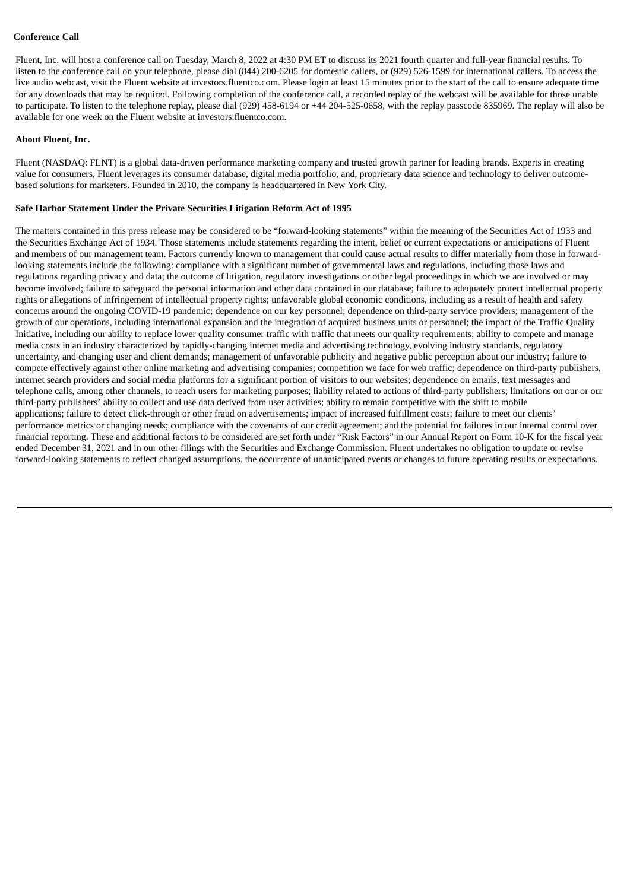# **Conference Call**

Fluent, Inc. will host a conference call on Tuesday, March 8, 2022 at 4:30 PM ET to discuss its 2021 fourth quarter and full-year financial results. To listen to the conference call on your telephone, please dial (844) 200-6205 for domestic callers, or (929) 526-1599 for international callers. To access the live audio webcast, visit the Fluent website at investors.fluentco.com. Please login at least 15 minutes prior to the start of the call to ensure adequate time for any downloads that may be required. Following completion of the conference call, a recorded replay of the webcast will be available for those unable to participate. To listen to the telephone replay, please dial (929) 458-6194 or +44 204-525-0658, with the replay passcode 835969. The replay will also be available for one week on the Fluent website at investors.fluentco.com.

#### **About Fluent, Inc.**

Fluent (NASDAQ: FLNT) is a global data-driven performance marketing company and trusted growth partner for leading brands. Experts in creating value for consumers, Fluent leverages its consumer database, digital media portfolio, and, proprietary data science and technology to deliver outcomebased solutions for marketers. Founded in 2010, the company is headquartered in New York City.

#### **Safe Harbor Statement Under the Private Securities Litigation Reform Act of 1995**

The matters contained in this press release may be considered to be "forward-looking statements" within the meaning of the Securities Act of 1933 and the Securities Exchange Act of 1934. Those statements include statements regarding the intent, belief or current expectations or anticipations of Fluent and members of our management team. Factors currently known to management that could cause actual results to differ materially from those in forwardlooking statements include the following: compliance with a significant number of governmental laws and regulations, including those laws and regulations regarding privacy and data; the outcome of litigation, regulatory investigations or other legal proceedings in which we are involved or may become involved; failure to safeguard the personal information and other data contained in our database; failure to adequately protect intellectual property rights or allegations of infringement of intellectual property rights; unfavorable global economic conditions, including as a result of health and safety concerns around the ongoing COVID-19 pandemic; dependence on our key personnel; dependence on third-party service providers; management of the growth of our operations, including international expansion and the integration of acquired business units or personnel; the impact of the Traffic Quality Initiative, including our ability to replace lower quality consumer traffic with traffic that meets our quality requirements; ability to compete and manage media costs in an industry characterized by rapidly-changing internet media and advertising technology, evolving industry standards, regulatory uncertainty, and changing user and client demands; management of unfavorable publicity and negative public perception about our industry; failure to compete effectively against other online marketing and advertising companies; competition we face for web traffic; dependence on third-party publishers, internet search providers and social media platforms for a significant portion of visitors to our websites; dependence on emails, text messages and telephone calls, among other channels, to reach users for marketing purposes; liability related to actions of third-party publishers; limitations on our or our third-party publishers' ability to collect and use data derived from user activities; ability to remain competitive with the shift to mobile applications; failure to detect click-through or other fraud on advertisements; impact of increased fulfillment costs; failure to meet our clients' performance metrics or changing needs; compliance with the covenants of our credit agreement; and the potential for failures in our internal control over financial reporting. These and additional factors to be considered are set forth under "Risk Factors" in our Annual Report on Form 10-K for the fiscal year ended December 31, 2021 and in our other filings with the Securities and Exchange Commission. Fluent undertakes no obligation to update or revise forward-looking statements to reflect changed assumptions, the occurrence of unanticipated events or changes to future operating results or expectations.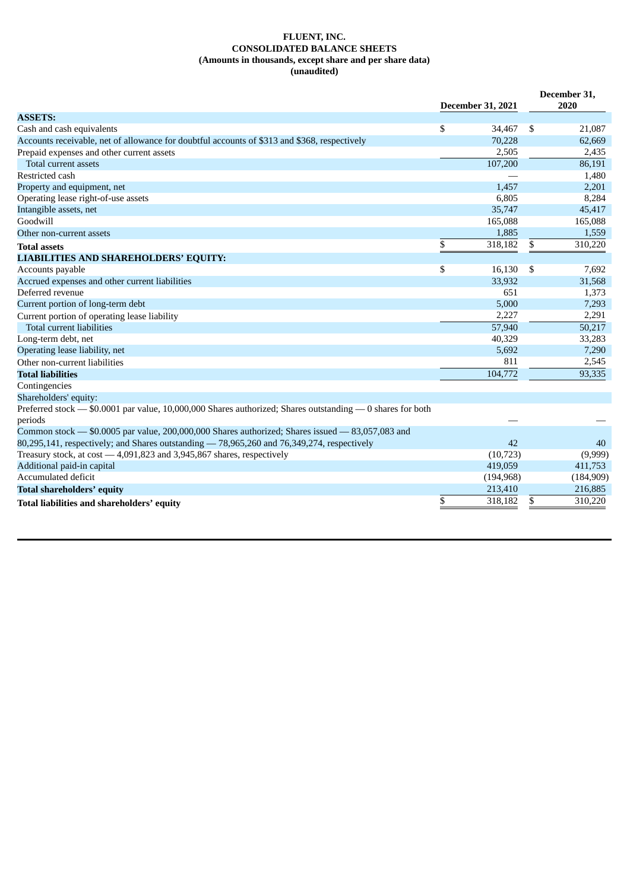## **FLUENT, INC. CONSOLIDATED BALANCE SHEETS (Amounts in thousands, except share and per share data) (unaudited)**

|                                                                                                                | <b>December 31, 2021</b> | December 31,<br>2020 |           |  |  |
|----------------------------------------------------------------------------------------------------------------|--------------------------|----------------------|-----------|--|--|
| <b>ASSETS:</b>                                                                                                 |                          |                      |           |  |  |
| Cash and cash equivalents                                                                                      | \$<br>34,467             | -\$                  | 21,087    |  |  |
| Accounts receivable, net of allowance for doubtful accounts of \$313 and \$368, respectively                   | 70,228                   |                      | 62,669    |  |  |
| Prepaid expenses and other current assets                                                                      | 2,505                    |                      | 2,435     |  |  |
| Total current assets                                                                                           | 107,200                  |                      | 86,191    |  |  |
| Restricted cash                                                                                                |                          |                      | 1,480     |  |  |
| Property and equipment, net                                                                                    | 1,457                    |                      | 2,201     |  |  |
| Operating lease right-of-use assets                                                                            | 6,805                    |                      | 8,284     |  |  |
| Intangible assets, net                                                                                         | 35,747                   |                      | 45,417    |  |  |
| Goodwill                                                                                                       | 165,088                  |                      | 165,088   |  |  |
| Other non-current assets                                                                                       | 1,885                    |                      | 1,559     |  |  |
| <b>Total assets</b>                                                                                            | \$<br>318,182            | \$                   | 310,220   |  |  |
| <b>LIABILITIES AND SHAREHOLDERS' EQUITY:</b>                                                                   |                          |                      |           |  |  |
| Accounts payable                                                                                               | \$<br>16,130             | \$                   | 7,692     |  |  |
| Accrued expenses and other current liabilities                                                                 | 33,932                   |                      | 31,568    |  |  |
| Deferred revenue                                                                                               | 651                      |                      | 1,373     |  |  |
| Current portion of long-term debt                                                                              | 5,000                    |                      | 7,293     |  |  |
| Current portion of operating lease liability                                                                   | 2,227                    |                      | 2,291     |  |  |
| Total current liabilities                                                                                      | 57,940                   |                      | 50,217    |  |  |
| Long-term debt, net                                                                                            | 40,329                   |                      | 33,283    |  |  |
| Operating lease liability, net                                                                                 | 5,692                    |                      | 7,290     |  |  |
| Other non-current liabilities                                                                                  | 811                      |                      | 2,545     |  |  |
| <b>Total liabilities</b>                                                                                       | 104,772                  |                      | 93,335    |  |  |
| Contingencies                                                                                                  |                          |                      |           |  |  |
| Shareholders' equity:                                                                                          |                          |                      |           |  |  |
| Preferred stock $-$ \$0.0001 par value, 10,000,000 Shares authorized; Shares outstanding $-$ 0 shares for both |                          |                      |           |  |  |
| periods                                                                                                        |                          |                      |           |  |  |
| Common stock - \$0.0005 par value, 200,000,000 Shares authorized; Shares issued - 83,057,083 and               |                          |                      |           |  |  |
| $80,295,141$ , respectively; and Shares outstanding $-78,965,260$ and $76,349,274$ , respectively              | 42                       |                      | 40        |  |  |
| Treasury stock, at cost - 4,091,823 and 3,945,867 shares, respectively                                         | (10, 723)                |                      | (9,999)   |  |  |
| Additional paid-in capital                                                                                     | 419,059                  |                      | 411,753   |  |  |
| <b>Accumulated deficit</b>                                                                                     | (194, 968)               |                      | (184,909) |  |  |
| <b>Total shareholders' equity</b>                                                                              | 213,410                  |                      | 216,885   |  |  |
| Total liabilities and shareholders' equity                                                                     | \$<br>318,182            | \$                   | 310,220   |  |  |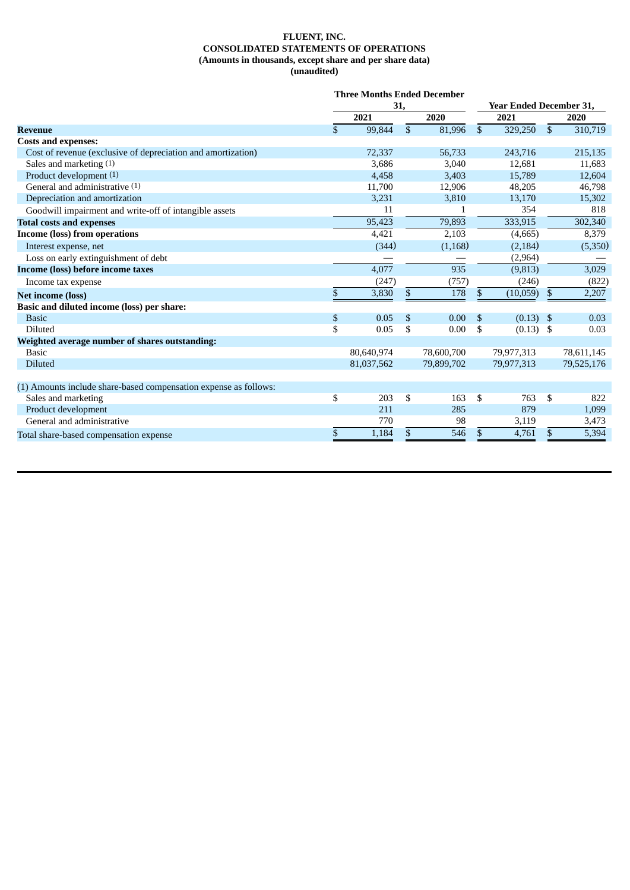## **FLUENT, INC. CONSOLIDATED STATEMENTS OF OPERATIONS (Amounts in thousands, except share and per share data) (unaudited)**

|                                                                  | <b>Three Months Ended December</b> |            |    |                         |                |             |    |            |
|------------------------------------------------------------------|------------------------------------|------------|----|-------------------------|----------------|-------------|----|------------|
|                                                                  | 31,                                |            |    | Year Ended December 31, |                |             |    |            |
|                                                                  |                                    | 2021       |    | 2020                    |                | 2021        |    | 2020       |
| <b>Revenue</b>                                                   | \$                                 | 99,844     | \$ | 81,996                  | $\mathbb{S}$   | 329,250     | \$ | 310,719    |
| <b>Costs and expenses:</b>                                       |                                    |            |    |                         |                |             |    |            |
| Cost of revenue (exclusive of depreciation and amortization)     |                                    | 72,337     |    | 56,733                  |                | 243,716     |    | 215,135    |
| Sales and marketing (1)                                          |                                    | 3,686      |    | 3,040                   |                | 12,681      |    | 11,683     |
| Product development (1)                                          |                                    | 4,458      |    | 3,403                   |                | 15,789      |    | 12,604     |
| General and administrative (1)                                   |                                    | 11,700     |    | 12,906                  |                | 48,205      |    | 46,798     |
| Depreciation and amortization                                    |                                    | 3,231      |    | 3,810                   |                | 13,170      |    | 15,302     |
| Goodwill impairment and write-off of intangible assets           |                                    | 11         |    |                         |                | 354         |    | 818        |
| <b>Total costs and expenses</b>                                  |                                    | 95,423     |    | 79,893                  |                | 333,915     |    | 302,340    |
| <b>Income (loss) from operations</b>                             |                                    | 4,421      |    | 2,103                   |                | (4,665)     |    | 8,379      |
| Interest expense, net                                            |                                    | (344)      |    | (1, 168)                |                | (2, 184)    |    | (5,350)    |
| Loss on early extinguishment of debt                             |                                    |            |    |                         |                | (2,964)     |    |            |
| Income (loss) before income taxes                                |                                    | 4,077      |    | 935                     |                | (9, 813)    |    | 3,029      |
| Income tax expense                                               |                                    | (247)      |    | (757)                   |                | (246)       |    | (822)      |
| <b>Net income (loss)</b>                                         | \$                                 | 3,830      | \$ | 178                     | $\mathfrak{S}$ | (10,059)    | \$ | 2,207      |
| Basic and diluted income (loss) per share:                       |                                    |            |    |                         |                |             |    |            |
| <b>Basic</b>                                                     | $\$$                               | 0.05       | \$ | 0.00                    | \$             | (0.13)      | \$ | 0.03       |
| <b>Diluted</b>                                                   | \$                                 | 0.05       | \$ | 0.00                    | \$             | $(0.13)$ \$ |    | 0.03       |
| Weighted average number of shares outstanding:                   |                                    |            |    |                         |                |             |    |            |
| <b>Basic</b>                                                     |                                    | 80,640,974 |    | 78,600,700              |                | 79,977,313  |    | 78,611,145 |
| <b>Diluted</b>                                                   |                                    | 81,037,562 |    | 79,899,702              |                | 79,977,313  |    | 79,525,176 |
| (1) Amounts include share-based compensation expense as follows: |                                    |            |    |                         |                |             |    |            |
| Sales and marketing                                              | \$                                 | 203        | \$ | 163                     | \$             | 763         | \$ | 822        |
| Product development                                              |                                    | 211        |    | 285                     |                | 879         |    | 1,099      |
| General and administrative                                       |                                    | 770        |    | 98                      |                | 3,119       |    | 3,473      |
| Total share-based compensation expense                           | \$                                 | 1,184      | \$ | 546                     | \$             | 4,761       | \$ | 5,394      |
|                                                                  |                                    |            |    |                         |                |             |    |            |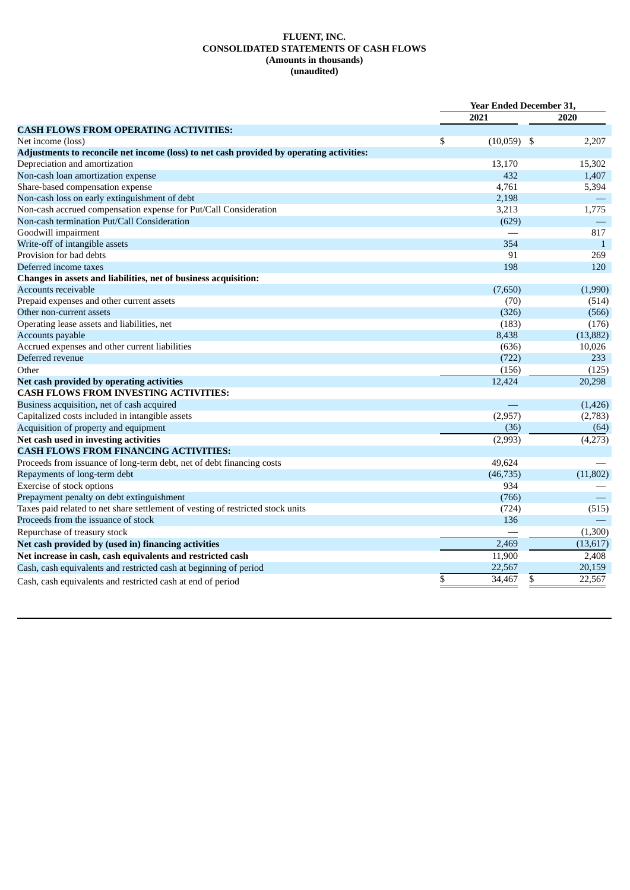# **FLUENT, INC. CONSOLIDATED STATEMENTS OF CASH FLOWS (Amounts in thousands) (unaudited)**

|                                                                                          | <b>Year Ended December 31,</b> |    |              |  |
|------------------------------------------------------------------------------------------|--------------------------------|----|--------------|--|
|                                                                                          | 2021                           |    | 2020         |  |
| <b>CASH FLOWS FROM OPERATING ACTIVITIES:</b>                                             |                                |    |              |  |
| Net income (loss)                                                                        | \$<br>$(10,059)$ \$            |    | 2,207        |  |
| Adjustments to reconcile net income (loss) to net cash provided by operating activities: |                                |    |              |  |
| Depreciation and amortization                                                            | 13,170                         |    | 15,302       |  |
| Non-cash loan amortization expense                                                       | 432                            |    | 1,407        |  |
| Share-based compensation expense                                                         | 4,761                          |    | 5,394        |  |
| Non-cash loss on early extinguishment of debt                                            | 2,198                          |    |              |  |
| Non-cash accrued compensation expense for Put/Call Consideration                         | 3,213                          |    | 1,775        |  |
| Non-cash termination Put/Call Consideration                                              | (629)                          |    |              |  |
| Goodwill impairment                                                                      |                                |    | 817          |  |
| Write-off of intangible assets                                                           | 354                            |    | $\mathbf{1}$ |  |
| Provision for bad debts                                                                  | 91                             |    | 269          |  |
| Deferred income taxes                                                                    | 198                            |    | 120          |  |
| Changes in assets and liabilities, net of business acquisition:                          |                                |    |              |  |
| Accounts receivable                                                                      | (7,650)                        |    | (1,990)      |  |
| Prepaid expenses and other current assets                                                | (70)                           |    | (514)        |  |
| Other non-current assets                                                                 | (326)                          |    | (566)        |  |
| Operating lease assets and liabilities, net                                              | (183)                          |    | (176)        |  |
| Accounts payable                                                                         | 8,438                          |    | (13, 882)    |  |
| Accrued expenses and other current liabilities                                           | (636)                          |    | 10,026       |  |
| Deferred revenue                                                                         | (722)                          |    | 233          |  |
| Other                                                                                    | (156)                          |    | (125)        |  |
| Net cash provided by operating activities                                                | 12,424                         |    | 20,298       |  |
| <b>CASH FLOWS FROM INVESTING ACTIVITIES:</b>                                             |                                |    |              |  |
| Business acquisition, net of cash acquired                                               |                                |    | (1, 426)     |  |
| Capitalized costs included in intangible assets                                          | (2,957)                        |    | (2,783)      |  |
| Acquisition of property and equipment                                                    | (36)                           |    | (64)         |  |
| Net cash used in investing activities                                                    | (2,993)                        |    | (4,273)      |  |
| <b>CASH FLOWS FROM FINANCING ACTIVITIES:</b>                                             |                                |    |              |  |
| Proceeds from issuance of long-term debt, net of debt financing costs                    | 49,624                         |    |              |  |
| Repayments of long-term debt                                                             | (46, 735)                      |    | (11,802)     |  |
| Exercise of stock options                                                                | 934                            |    |              |  |
| Prepayment penalty on debt extinguishment                                                | (766)                          |    |              |  |
| Taxes paid related to net share settlement of vesting of restricted stock units          | (724)                          |    | (515)        |  |
| Proceeds from the issuance of stock                                                      | 136                            |    |              |  |
| Repurchase of treasury stock                                                             |                                |    | (1,300)      |  |
| Net cash provided by (used in) financing activities                                      | 2,469                          |    | (13, 617)    |  |
| Net increase in cash, cash equivalents and restricted cash                               | 11,900                         |    | 2,408        |  |
| Cash, cash equivalents and restricted cash at beginning of period                        | 22,567                         |    | 20,159       |  |
| Cash, cash equivalents and restricted cash at end of period                              | \$<br>34,467                   | \$ | 22,567       |  |
|                                                                                          |                                |    |              |  |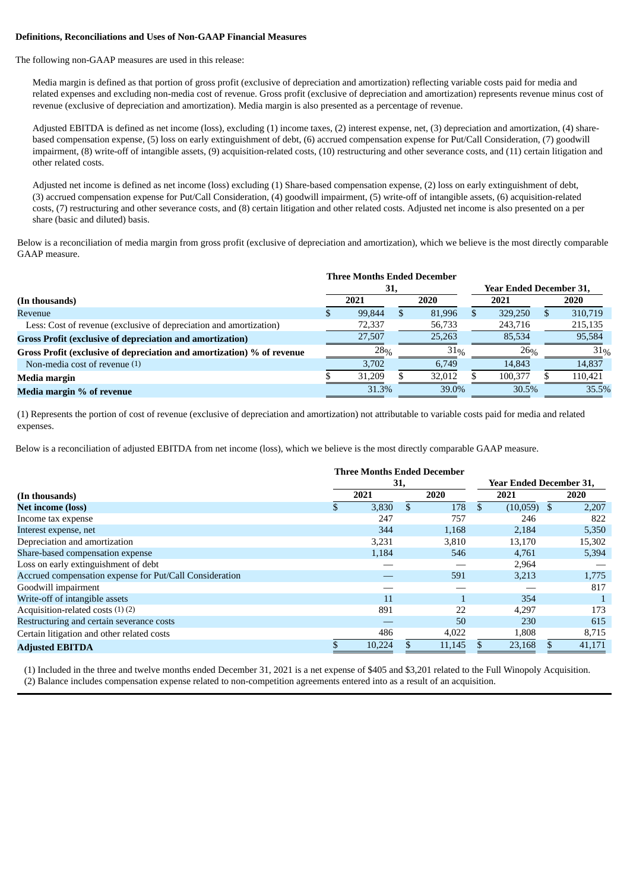#### **Definitions, Reconciliations and Uses of Non-GAAP Financial Measures**

The following non-GAAP measures are used in this release:

Media margin is defined as that portion of gross profit (exclusive of depreciation and amortization) reflecting variable costs paid for media and related expenses and excluding non-media cost of revenue. Gross profit (exclusive of depreciation and amortization) represents revenue minus cost of revenue (exclusive of depreciation and amortization). Media margin is also presented as a percentage of revenue.

Adjusted EBITDA is defined as net income (loss), excluding (1) income taxes, (2) interest expense, net, (3) depreciation and amortization, (4) sharebased compensation expense, (5) loss on early extinguishment of debt, (6) accrued compensation expense for Put/Call Consideration, (7) goodwill impairment, (8) write-off of intangible assets, (9) acquisition-related costs, (10) restructuring and other severance costs, and (11) certain litigation and other related costs.

Adjusted net income is defined as net income (loss) excluding (1) Share-based compensation expense, (2) loss on early extinguishment of debt, (3) accrued compensation expense for Put/Call Consideration, (4) goodwill impairment, (5) write-off of intangible assets, (6) acquisition-related costs, (7) restructuring and other severance costs, and (8) certain litigation and other related costs. Adjusted net income is also presented on a per share (basic and diluted) basis.

Below is a reconciliation of media margin from gross profit (exclusive of depreciation and amortization), which we believe is the most directly comparable GAAP measure.

|                                                                        |              | <b>Three Months Ended December</b> |  |        |                                |         |   |         |
|------------------------------------------------------------------------|--------------|------------------------------------|--|--------|--------------------------------|---------|---|---------|
|                                                                        | 31,          |                                    |  |        | <b>Year Ended December 31,</b> |         |   |         |
| (In thousands)                                                         | 2020<br>2021 |                                    |  |        |                                | 2021    |   | 2020    |
| <b>Revenue</b>                                                         |              | 99.844                             |  | 81,996 |                                | 329,250 | ж | 310,719 |
| Less: Cost of revenue (exclusive of depreciation and amortization)     |              | 72,337                             |  | 56,733 |                                | 243,716 |   | 215,135 |
| Gross Profit (exclusive of depreciation and amortization)              |              | 27,507                             |  | 25,263 |                                | 85,534  |   | 95,584  |
| Gross Profit (exclusive of depreciation and amortization) % of revenue |              | 28%                                |  | 31%    |                                | 26%     |   | 31%     |
| Non-media cost of revenue $(1)$                                        |              | 3,702                              |  | 6,749  |                                | 14.843  |   | 14,837  |
| Media margin                                                           |              | 31,209                             |  | 32,012 |                                | 100,377 |   | 110,421 |
| Media margin % of revenue                                              |              | 31.3%                              |  | 39.0%  |                                | 30.5%   |   | 35.5%   |

(1) Represents the portion of cost of revenue (exclusive of depreciation and amortization) not attributable to variable costs paid for media and related expenses.

Below is a reconciliation of adjusted EBITDA from net income (loss), which we believe is the most directly comparable GAAP measure.

|                                                         |    | <b>Three Months Ended December</b> |     |                                |     |          |    |        |
|---------------------------------------------------------|----|------------------------------------|-----|--------------------------------|-----|----------|----|--------|
|                                                         |    |                                    | 31, | <b>Year Ended December 31,</b> |     |          |    |        |
| (In thousands)                                          |    | 2021                               |     | 2020                           |     | 2021     |    | 2020   |
| <b>Net income (loss)</b>                                | Ÿ. | 3,830                              | \$. | 178                            | \$. | (10,059) | -S | 2,207  |
| Income tax expense                                      |    | 247                                |     | 757                            |     | 246      |    | 822    |
| Interest expense, net                                   |    | 344                                |     | 1,168                          |     | 2,184    |    | 5,350  |
| Depreciation and amortization                           |    | 3,231                              |     | 3,810                          |     | 13,170   |    | 15,302 |
| Share-based compensation expense                        |    | 1,184                              |     | 546                            |     | 4,761    |    | 5,394  |
| Loss on early extinguishment of debt                    |    |                                    |     |                                |     | 2,964    |    |        |
| Accrued compensation expense for Put/Call Consideration |    |                                    |     | 591                            |     | 3,213    |    | 1,775  |
| Goodwill impairment                                     |    |                                    |     |                                |     |          |    | 817    |
| Write-off of intangible assets                          |    | 11                                 |     |                                |     | 354      |    |        |
| Acquisition-related costs (1)(2)                        |    | 891                                |     | 22                             |     | 4,297    |    | 173    |
| Restructuring and certain severance costs               |    |                                    |     | 50                             |     | 230      |    | 615    |
| Certain litigation and other related costs              |    | 486                                |     | 4,022                          |     | 1,808    |    | 8,715  |
| <b>Adjusted EBITDA</b>                                  |    | 10.224                             |     | 11.145                         |     | 23.168   |    | 41,171 |

(1) Included in the three and twelve months ended December 31, 2021 is a net expense of \$405 and \$3,201 related to the Full Winopoly Acquisition.

(2) Balance includes compensation expense related to non-competition agreements entered into as a result of an acquisition.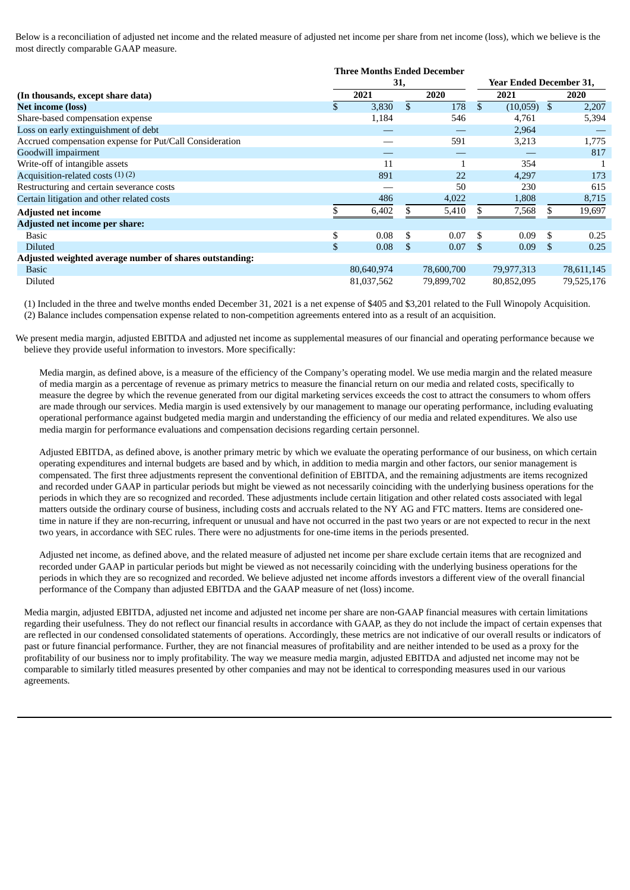Below is a reconciliation of adjusted net income and the related measure of adjusted net income per share from net income (loss), which we believe is the most directly comparable GAAP measure.

|                                                         | Three Months Ended December |            |      |              |               |                                |     |            |
|---------------------------------------------------------|-----------------------------|------------|------|--------------|---------------|--------------------------------|-----|------------|
|                                                         | 31,                         |            |      |              |               | <b>Year Ended December 31,</b> |     |            |
| (In thousands, except share data)                       |                             | 2021       | 2020 |              |               | 2021                           |     |            |
| <b>Net income (loss)</b>                                | S.                          | 3,830      | \$   | 178          | \$            | (10,059)                       | -S  | 2,207      |
| Share-based compensation expense                        |                             | 1,184      |      | 546          |               | 4,761                          |     | 5,394      |
| Loss on early extinguishment of debt                    |                             |            |      |              |               | 2,964                          |     |            |
| Accrued compensation expense for Put/Call Consideration |                             |            |      | 591          |               | 3,213                          |     | 1,775      |
| Goodwill impairment                                     |                             |            |      |              |               |                                |     | 817        |
| Write-off of intangible assets                          |                             | 11         |      | $\mathbf{1}$ |               | 354                            |     |            |
| Acquisition-related costs $(1)(2)$                      |                             | 891        |      | 22           |               | 4,297                          |     | 173        |
| Restructuring and certain severance costs               |                             |            |      | 50           |               | 230                            |     | 615        |
| Certain litigation and other related costs              |                             | 486        |      | 4,022        |               | 1,808                          |     | 8,715      |
| <b>Adjusted net income</b>                              |                             | 6,402      | \$.  | 5,410        |               | 7,568                          | S.  | 19,697     |
| Adjusted net income per share:                          |                             |            |      |              |               |                                |     |            |
| Basic                                                   | \$                          | 0.08       | \$.  | 0.07         | \$.           | 0.09                           | \$. | 0.25       |
| <b>Diluted</b>                                          | \$                          | 0.08       | \$.  | 0.07         | <sup>\$</sup> | 0.09                           | \$  | 0.25       |
| Adjusted weighted average number of shares outstanding: |                             |            |      |              |               |                                |     |            |
| <b>Basic</b>                                            |                             | 80,640,974 |      | 78,600,700   |               | 79,977,313                     |     | 78,611,145 |
| <b>Diluted</b>                                          |                             | 81,037,562 |      | 79,899,702   |               | 80,852,095                     |     | 79,525,176 |

(1) Included in the three and twelve months ended December 31, 2021 is a net expense of \$405 and \$3,201 related to the Full Winopoly Acquisition. (2) Balance includes compensation expense related to non-competition agreements entered into as a result of an acquisition.

We present media margin, adjusted EBITDA and adjusted net income as supplemental measures of our financial and operating performance because we believe they provide useful information to investors. More specifically:

Media margin, as defined above, is a measure of the efficiency of the Company's operating model. We use media margin and the related measure of media margin as a percentage of revenue as primary metrics to measure the financial return on our media and related costs, specifically to measure the degree by which the revenue generated from our digital marketing services exceeds the cost to attract the consumers to whom offers are made through our services. Media margin is used extensively by our management to manage our operating performance, including evaluating operational performance against budgeted media margin and understanding the efficiency of our media and related expenditures. We also use media margin for performance evaluations and compensation decisions regarding certain personnel.

Adjusted EBITDA, as defined above, is another primary metric by which we evaluate the operating performance of our business, on which certain operating expenditures and internal budgets are based and by which, in addition to media margin and other factors, our senior management is compensated. The first three adjustments represent the conventional definition of EBITDA, and the remaining adjustments are items recognized and recorded under GAAP in particular periods but might be viewed as not necessarily coinciding with the underlying business operations for the periods in which they are so recognized and recorded. These adjustments include certain litigation and other related costs associated with legal matters outside the ordinary course of business, including costs and accruals related to the NY AG and FTC matters. Items are considered onetime in nature if they are non-recurring, infrequent or unusual and have not occurred in the past two years or are not expected to recur in the next two years, in accordance with SEC rules. There were no adjustments for one-time items in the periods presented.

Adjusted net income, as defined above, and the related measure of adjusted net income per share exclude certain items that are recognized and recorded under GAAP in particular periods but might be viewed as not necessarily coinciding with the underlying business operations for the periods in which they are so recognized and recorded. We believe adjusted net income affords investors a different view of the overall financial performance of the Company than adjusted EBITDA and the GAAP measure of net (loss) income.

Media margin, adjusted EBITDA, adjusted net income and adjusted net income per share are non-GAAP financial measures with certain limitations regarding their usefulness. They do not reflect our financial results in accordance with GAAP, as they do not include the impact of certain expenses that are reflected in our condensed consolidated statements of operations. Accordingly, these metrics are not indicative of our overall results or indicators of past or future financial performance. Further, they are not financial measures of profitability and are neither intended to be used as a proxy for the profitability of our business nor to imply profitability. The way we measure media margin, adjusted EBITDA and adjusted net income may not be comparable to similarly titled measures presented by other companies and may not be identical to corresponding measures used in our various agreements.